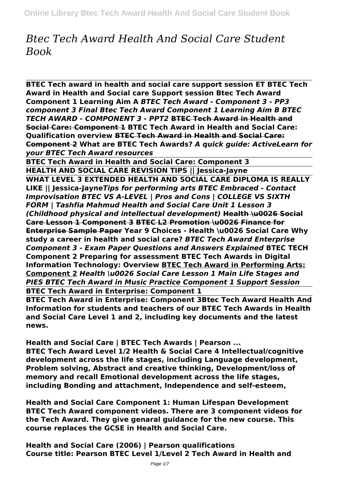# *Btec Tech Award Health And Social Care Student Book*

**BTEC Tech award in health and social care support session ET BTEC Tech Award in Health and Social care Support session Btec Tech Award Component 1 Learning Aim A** *BTEC Tech Award - Component 3 - PP3 component 3 Final Btec Tech Award Component 1 Learning Aim B BTEC TECH AWARD - COMPONENT 3 - PPT2* **BTEC Tech Award in Health and Social Care: Component 1 BTEC Tech Award in Health and Social Care: Qualification overview BTEC Tech Award in Health and Social Care: Component 2 What are BTEC Tech Awards?** *A quick guide: ActiveLearn for your BTEC Tech Award resources*

**BTEC Tech Award in Health and Social Care: Component 3 HEALTH AND SOCIAL CARE REVISION TIPS || Jessica-Jayne**

**WHAT LEVEL 3 EXTENDED HEALTH AND SOCIAL CARE DIPLOMA IS REALLY LIKE || Jessica-Jayne***Tips for performing arts BTEC Embraced - Contact Improvisation BTEC VS A-LEVEL | Pros and Cons | COLLEGE VS SIXTH FORM | Tashfia Mahmud Health and Social Care Unit 1 Lesson 3 (Childhood physical and intellectual development)* **Health \u0026 Social Care Lesson 1 Component 3 BTEC L2 Promotion \u0026 Finance for Enterprise Sample Paper Year 9 Choices - Health \u0026 Social Care Why study a career in health and social care?** *BTEC Tech Award Enterprise Component 3 - Exam Paper Questions and Answers Explained* **BTEC TECH Component 2 Preparing for assessment BTEC Tech Awards in Digital Information Technology: Overview BTEC Tech Award in Performing Arts: Component 2** *Health \u0026 Social Care Lesson 1 Main Life Stages and PIES BTEC Tech Award in Music Practice Component 1 Support Session* **BTEC Tech Award in Enterprise: Component 1**

**BTEC Tech Award in Enterprise: Component 3Btec Tech Award Health And Information for students and teachers of our BTEC Tech Awards in Health and Social Care Level 1 and 2, including key documents and the latest news.**

**Health and Social Care | BTEC Tech Awards | Pearson ... BTEC Tech Award Level 1/2 Health & Social Care 4 Intellectual/cognitive development across the life stages, including Language development, Problem solving, Abstract and creative thinking, Development/loss of memory and recall Emotional development across the life stages, including Bonding and attachment, Independence and self-esteem,**

**Health and Social Care Component 1: Human Lifespan Development BTEC Tech Award component videos. There are 3 component videos for the Tech Award. They give genaral guidance for the new course. This course replaces the GCSE in Health and Social Care.**

**Health and Social Care (2006) | Pearson qualifications Course title: Pearson BTEC Level 1/Level 2 Tech Award in Health and**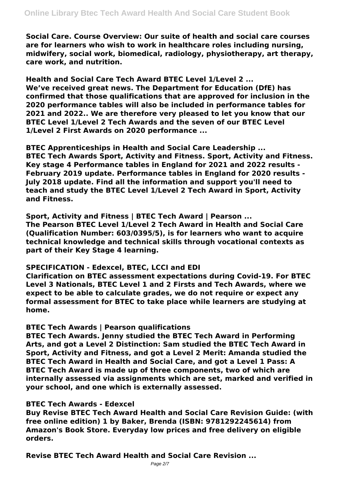**Social Care. Course Overview: Our suite of health and social care courses are for learners who wish to work in healthcare roles including nursing, midwifery, social work, biomedical, radiology, physiotherapy, art therapy, care work, and nutrition.**

**Health and Social Care Tech Award BTEC Level 1/Level 2 ... We've received great news. The Department for Education (DfE) has confirmed that those qualifications that are approved for inclusion in the 2020 performance tables will also be included in performance tables for 2021 and 2022.. We are therefore very pleased to let you know that our BTEC Level 1/Level 2 Tech Awards and the seven of our BTEC Level 1/Level 2 First Awards on 2020 performance ...**

**BTEC Apprenticeships in Health and Social Care Leadership ... BTEC Tech Awards Sport, Activity and Fitness. Sport, Activity and Fitness. Key stage 4 Performance tables in England for 2021 and 2022 results - February 2019 update. Performance tables in England for 2020 results - July 2018 update. Find all the information and support you'll need to teach and study the BTEC Level 1/Level 2 Tech Award in Sport, Activity and Fitness.**

**Sport, Activity and Fitness | BTEC Tech Award | Pearson ...**

**The Pearson BTEC Level 1/Level 2 Tech Award in Health and Social Care (Qualification Number: 603/0395/5), is for learners who want to acquire technical knowledge and technical skills through vocational contexts as part of their Key Stage 4 learning.**

## **SPECIFICATION - Edexcel, BTEC, LCCI and EDI**

**Clarification on BTEC assessment expectations during Covid-19. For BTEC Level 3 Nationals, BTEC Level 1 and 2 Firsts and Tech Awards, where we expect to be able to calculate grades, we do not require or expect any formal assessment for BTEC to take place while learners are studying at home.**

## **BTEC Tech Awards | Pearson qualifications**

**BTEC Tech Awards. Jenny studied the BTEC Tech Award in Performing Arts, and got a Level 2 Distinction: Sam studied the BTEC Tech Award in Sport, Activity and Fitness, and got a Level 2 Merit: Amanda studied the BTEC Tech Award in Health and Social Care, and got a Level 1 Pass: A BTEC Tech Award is made up of three components, two of which are internally assessed via assignments which are set, marked and verified in your school, and one which is externally assessed.**

## **BTEC Tech Awards - Edexcel**

**Buy Revise BTEC Tech Award Health and Social Care Revision Guide: (with free online edition) 1 by Baker, Brenda (ISBN: 9781292245614) from Amazon's Book Store. Everyday low prices and free delivery on eligible orders.**

**Revise BTEC Tech Award Health and Social Care Revision ...**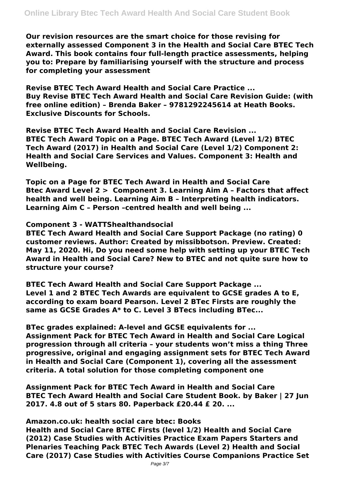**Our revision resources are the smart choice for those revising for externally assessed Component 3 in the Health and Social Care BTEC Tech Award. This book contains four full-length practice assessments, helping you to: Prepare by familiarising yourself with the structure and process for completing your assessment**

**Revise BTEC Tech Award Health and Social Care Practice ... Buy Revise BTEC Tech Award Health and Social Care Revision Guide: (with free online edition) – Brenda Baker – 9781292245614 at Heath Books. Exclusive Discounts for Schools.**

**Revise BTEC Tech Award Health and Social Care Revision ... BTEC Tech Award Topic on a Page. BTEC Tech Award (Level 1/2) BTEC Tech Award (2017) in Health and Social Care (Level 1/2) Component 2: Health and Social Care Services and Values. Component 3: Health and Wellbeing.**

**Topic on a Page for BTEC Tech Award in Health and Social Care Btec Award Level 2 > Component 3. Learning Aim A – Factors that affect health and well being. Learning Aim B – Interpreting health indicators. Learning Aim C – Person –centred health and well being ...**

**Component 3 - WATTShealthandsocial**

**BTEC Tech Award Health and Social Care Support Package (no rating) 0 customer reviews. Author: Created by missibbotson. Preview. Created: May 11, 2020. Hi, Do you need some help with setting up your BTEC Tech Award in Health and Social Care? New to BTEC and not quite sure how to structure your course?**

**BTEC Tech Award Health and Social Care Support Package ... Level 1 and 2 BTEC Tech Awards are equivalent to GCSE grades A to E, according to exam board Pearson. Level 2 BTec Firsts are roughly the same as GCSE Grades A\* to C. Level 3 BTecs including BTec...**

**BTec grades explained: A-level and GCSE equivalents for ... Assignment Pack for BTEC Tech Award in Health and Social Care Logical progression through all criteria – your students won't miss a thing Three progressive, original and engaging assignment sets for BTEC Tech Award in Health and Social Care (Component 1), covering all the assessment criteria. A total solution for those completing component one**

**Assignment Pack for BTEC Tech Award in Health and Social Care BTEC Tech Award Health and Social Care Student Book. by Baker | 27 Jun 2017. 4.8 out of 5 stars 80. Paperback £20.44 £ 20. ...**

**Amazon.co.uk: health social care btec: Books**

**Health and Social Care BTEC Firsts (level 1/2) Health and Social Care (2012) Case Studies with Activities Practice Exam Papers Starters and Plenaries Teaching Pack BTEC Tech Awards (Level 2) Health and Social Care (2017) Case Studies with Activities Course Companions Practice Set**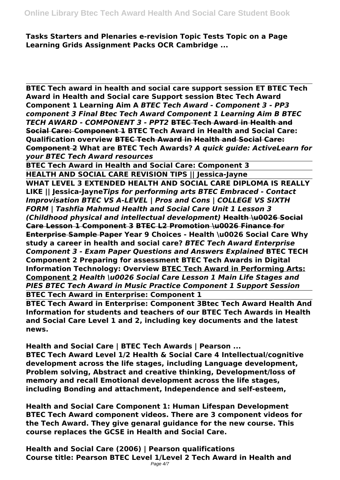**Tasks Starters and Plenaries e-revision Topic Tests Topic on a Page Learning Grids Assignment Packs OCR Cambridge ...**

**BTEC Tech award in health and social care support session ET BTEC Tech Award in Health and Social care Support session Btec Tech Award Component 1 Learning Aim A** *BTEC Tech Award - Component 3 - PP3 component 3 Final Btec Tech Award Component 1 Learning Aim B BTEC TECH AWARD - COMPONENT 3 - PPT2* **BTEC Tech Award in Health and Social Care: Component 1 BTEC Tech Award in Health and Social Care: Qualification overview BTEC Tech Award in Health and Social Care: Component 2 What are BTEC Tech Awards?** *A quick guide: ActiveLearn for your BTEC Tech Award resources*

**BTEC Tech Award in Health and Social Care: Component 3 HEALTH AND SOCIAL CARE REVISION TIPS || Jessica-Jayne**

**WHAT LEVEL 3 EXTENDED HEALTH AND SOCIAL CARE DIPLOMA IS REALLY LIKE || Jessica-Jayne***Tips for performing arts BTEC Embraced - Contact Improvisation BTEC VS A-LEVEL | Pros and Cons | COLLEGE VS SIXTH FORM | Tashfia Mahmud Health and Social Care Unit 1 Lesson 3 (Childhood physical and intellectual development)* **Health \u0026 Social Care Lesson 1 Component 3 BTEC L2 Promotion \u0026 Finance for Enterprise Sample Paper Year 9 Choices - Health \u0026 Social Care Why study a career in health and social care?** *BTEC Tech Award Enterprise Component 3 - Exam Paper Questions and Answers Explained* **BTEC TECH Component 2 Preparing for assessment BTEC Tech Awards in Digital Information Technology: Overview BTEC Tech Award in Performing Arts: Component 2** *Health \u0026 Social Care Lesson 1 Main Life Stages and PIES BTEC Tech Award in Music Practice Component 1 Support Session* **BTEC Tech Award in Enterprise: Component 1**

**BTEC Tech Award in Enterprise: Component 3Btec Tech Award Health And Information for students and teachers of our BTEC Tech Awards in Health and Social Care Level 1 and 2, including key documents and the latest news.**

**Health and Social Care | BTEC Tech Awards | Pearson ...**

**BTEC Tech Award Level 1/2 Health & Social Care 4 Intellectual/cognitive development across the life stages, including Language development, Problem solving, Abstract and creative thinking, Development/loss of memory and recall Emotional development across the life stages, including Bonding and attachment, Independence and self-esteem,**

**Health and Social Care Component 1: Human Lifespan Development BTEC Tech Award component videos. There are 3 component videos for the Tech Award. They give genaral guidance for the new course. This course replaces the GCSE in Health and Social Care.**

**Health and Social Care (2006) | Pearson qualifications Course title: Pearson BTEC Level 1/Level 2 Tech Award in Health and** Page 4/7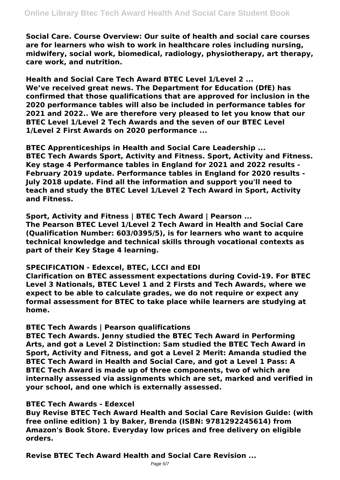**Social Care. Course Overview: Our suite of health and social care courses are for learners who wish to work in healthcare roles including nursing, midwifery, social work, biomedical, radiology, physiotherapy, art therapy, care work, and nutrition.**

**Health and Social Care Tech Award BTEC Level 1/Level 2 ... We've received great news. The Department for Education (DfE) has confirmed that those qualifications that are approved for inclusion in the 2020 performance tables will also be included in performance tables for 2021 and 2022.. We are therefore very pleased to let you know that our BTEC Level 1/Level 2 Tech Awards and the seven of our BTEC Level 1/Level 2 First Awards on 2020 performance ...**

**BTEC Apprenticeships in Health and Social Care Leadership ... BTEC Tech Awards Sport, Activity and Fitness. Sport, Activity and Fitness. Key stage 4 Performance tables in England for 2021 and 2022 results - February 2019 update. Performance tables in England for 2020 results - July 2018 update. Find all the information and support you'll need to teach and study the BTEC Level 1/Level 2 Tech Award in Sport, Activity and Fitness.**

**Sport, Activity and Fitness | BTEC Tech Award | Pearson ...**

**The Pearson BTEC Level 1/Level 2 Tech Award in Health and Social Care (Qualification Number: 603/0395/5), is for learners who want to acquire technical knowledge and technical skills through vocational contexts as part of their Key Stage 4 learning.**

## **SPECIFICATION - Edexcel, BTEC, LCCI and EDI**

**Clarification on BTEC assessment expectations during Covid-19. For BTEC Level 3 Nationals, BTEC Level 1 and 2 Firsts and Tech Awards, where we expect to be able to calculate grades, we do not require or expect any formal assessment for BTEC to take place while learners are studying at home.**

## **BTEC Tech Awards | Pearson qualifications**

**BTEC Tech Awards. Jenny studied the BTEC Tech Award in Performing Arts, and got a Level 2 Distinction: Sam studied the BTEC Tech Award in Sport, Activity and Fitness, and got a Level 2 Merit: Amanda studied the BTEC Tech Award in Health and Social Care, and got a Level 1 Pass: A BTEC Tech Award is made up of three components, two of which are internally assessed via assignments which are set, marked and verified in your school, and one which is externally assessed.**

## **BTEC Tech Awards - Edexcel**

**Buy Revise BTEC Tech Award Health and Social Care Revision Guide: (with free online edition) 1 by Baker, Brenda (ISBN: 9781292245614) from Amazon's Book Store. Everyday low prices and free delivery on eligible orders.**

**Revise BTEC Tech Award Health and Social Care Revision ...**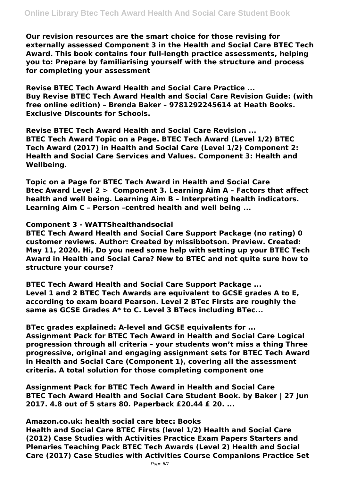**Our revision resources are the smart choice for those revising for externally assessed Component 3 in the Health and Social Care BTEC Tech Award. This book contains four full-length practice assessments, helping you to: Prepare by familiarising yourself with the structure and process for completing your assessment**

**Revise BTEC Tech Award Health and Social Care Practice ... Buy Revise BTEC Tech Award Health and Social Care Revision Guide: (with free online edition) – Brenda Baker – 9781292245614 at Heath Books. Exclusive Discounts for Schools.**

**Revise BTEC Tech Award Health and Social Care Revision ... BTEC Tech Award Topic on a Page. BTEC Tech Award (Level 1/2) BTEC Tech Award (2017) in Health and Social Care (Level 1/2) Component 2: Health and Social Care Services and Values. Component 3: Health and Wellbeing.**

**Topic on a Page for BTEC Tech Award in Health and Social Care Btec Award Level 2 > Component 3. Learning Aim A – Factors that affect health and well being. Learning Aim B – Interpreting health indicators. Learning Aim C – Person –centred health and well being ...**

**Component 3 - WATTShealthandsocial**

**BTEC Tech Award Health and Social Care Support Package (no rating) 0 customer reviews. Author: Created by missibbotson. Preview. Created: May 11, 2020. Hi, Do you need some help with setting up your BTEC Tech Award in Health and Social Care? New to BTEC and not quite sure how to structure your course?**

**BTEC Tech Award Health and Social Care Support Package ... Level 1 and 2 BTEC Tech Awards are equivalent to GCSE grades A to E, according to exam board Pearson. Level 2 BTec Firsts are roughly the same as GCSE Grades A\* to C. Level 3 BTecs including BTec...**

**BTec grades explained: A-level and GCSE equivalents for ... Assignment Pack for BTEC Tech Award in Health and Social Care Logical progression through all criteria – your students won't miss a thing Three progressive, original and engaging assignment sets for BTEC Tech Award in Health and Social Care (Component 1), covering all the assessment criteria. A total solution for those completing component one**

**Assignment Pack for BTEC Tech Award in Health and Social Care BTEC Tech Award Health and Social Care Student Book. by Baker | 27 Jun 2017. 4.8 out of 5 stars 80. Paperback £20.44 £ 20. ...**

**Amazon.co.uk: health social care btec: Books**

**Health and Social Care BTEC Firsts (level 1/2) Health and Social Care (2012) Case Studies with Activities Practice Exam Papers Starters and Plenaries Teaching Pack BTEC Tech Awards (Level 2) Health and Social Care (2017) Case Studies with Activities Course Companions Practice Set**